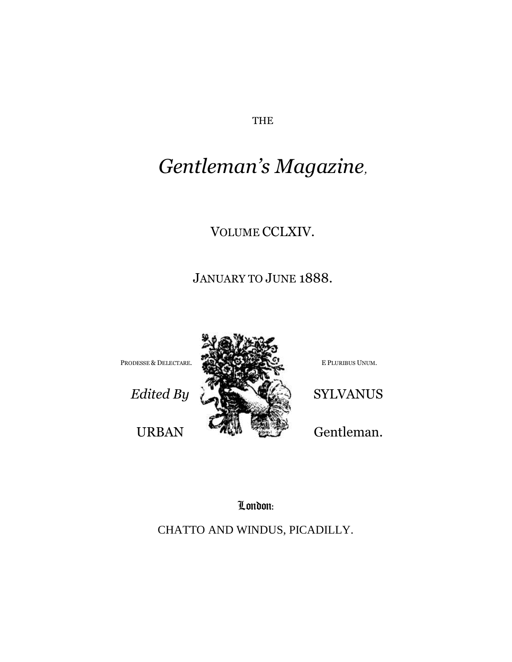THE

# *Gentleman's Magazine,*

## VOLUME CCLXIV.

## JANUARY TO JUNE 1888.



London:

CHATTO AND WINDUS, PICADILLY.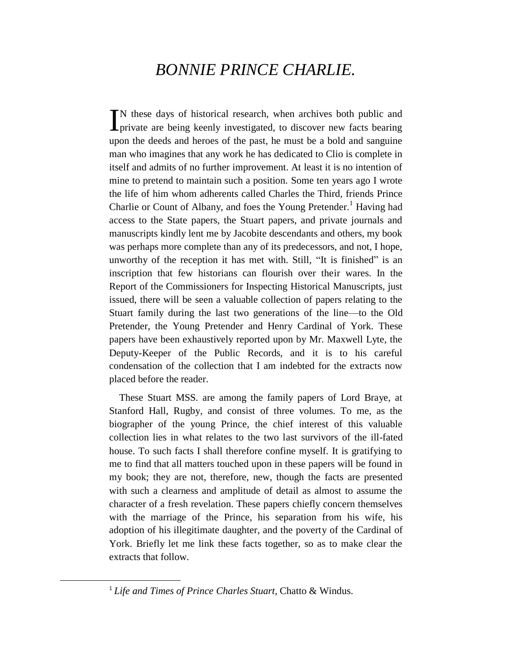# *BONNIE PRINCE CHARLIE.*

N these days of historical research, when archives both public and IN these days of historical research, when archives both public and private are being keenly investigated, to discover new facts bearing upon the deeds and heroes of the past, he must be a bold and sanguine man who imagines that any work he has dedicated to Clio is complete in itself and admits of no further improvement. At least it is no intention of mine to pretend to maintain such a position. Some ten years ago I wrote the life of him whom adherents called Charles the Third, friends Prince Charlie or Count of Albany, and foes the Young Pretender.<sup>1</sup> Having had access to the State papers, the Stuart papers, and private journals and manuscripts kindly lent me by Jacobite descendants and others, my book was perhaps more complete than any of its predecessors, and not, I hope, unworthy of the reception it has met with. Still, "It is finished" is an inscription that few historians can flourish over their wares. In the Report of the Commissioners for Inspecting Historical Manuscripts, just issued, there will be seen a valuable collection of papers relating to the Stuart family during the last two generations of the line—to the Old Pretender, the Young Pretender and Henry Cardinal of York. These papers have been exhaustively reported upon by Mr. Maxwell Lyte, the Deputy-Keeper of the Public Records, and it is to his careful condensation of the collection that I am indebted for the extracts now placed before the reader.

These Stuart MSS. are among the family papers of Lord Braye, at Stanford Hall, Rugby, and consist of three volumes. To me, as the biographer of the young Prince, the chief interest of this valuable collection lies in what relates to the two last survivors of the ill-fated house. To such facts I shall therefore confine myself. It is gratifying to me to find that all matters touched upon in these papers will be found in my book; they are not, therefore, new, though the facts are presented with such a clearness and amplitude of detail as almost to assume the character of a fresh revelation. These papers chiefly concern themselves with the marriage of the Prince, his separation from his wife, his adoption of his illegitimate daughter, and the poverty of the Cardinal of York. Briefly let me link these facts together, so as to make clear the extracts that follow.

<sup>1</sup> *Life and Times of Prince Charles Stuart,* Chatto & Windus.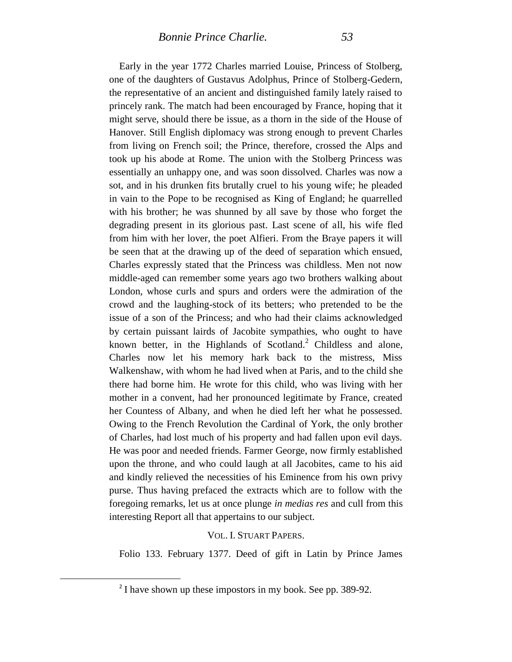Early in the year 1772 Charles married Louise, Princess of Stolberg, one of the daughters of Gustavus Adolphus, Prince of Stolberg-Gedern, the representative of an ancient and distinguished family lately raised to princely rank. The match had been encouraged by France, hoping that it might serve, should there be issue, as a thorn in the side of the House of Hanover. Still English diplomacy was strong enough to prevent Charles from living on French soil; the Prince, therefore, crossed the Alps and took up his abode at Rome. The union with the Stolberg Princess was essentially an unhappy one, and was soon dissolved. Charles was now a sot, and in his drunken fits brutally cruel to his young wife; he pleaded in vain to the Pope to be recognised as King of England; he quarrelled with his brother; he was shunned by all save by those who forget the degrading present in its glorious past. Last scene of all, his wife fled from him with her lover, the poet Alfieri. From the Braye papers it will be seen that at the drawing up of the deed of separation which ensued, Charles expressly stated that the Princess was childless. Men not now middle-aged can remember some years ago two brothers walking about London, whose curls and spurs and orders were the admiration of the crowd and the laughing-stock of its betters; who pretended to be the issue of a son of the Princess; and who had their claims acknowledged by certain puissant lairds of Jacobite sympathies, who ought to have known better, in the Highlands of Scotland. $<sup>2</sup>$  Childless and alone,</sup> Charles now let his memory hark back to the mistress, Miss Walkenshaw, with whom he had lived when at Paris, and to the child she there had borne him. He wrote for this child, who was living with her mother in a convent, had her pronounced legitimate by France, created her Countess of Albany, and when he died left her what he possessed. Owing to the French Revolution the Cardinal of York, the only brother of Charles, had lost much of his property and had fallen upon evil days. He was poor and needed friends. Farmer George, now firmly established upon the throne, and who could laugh at all Jacobites, came to his aid and kindly relieved the necessities of his Eminence from his own privy purse. Thus having prefaced the extracts which are to follow with the foregoing remarks, let us at once plunge *in medias res* and cull from this interesting Report all that appertains to our subject.

#### VOL. I. STUART PAPERS.

Folio 133. February 1377. Deed of gift in Latin by Prince James

<sup>&</sup>lt;sup>2</sup> I have shown up these impostors in my book. See pp. 389-92.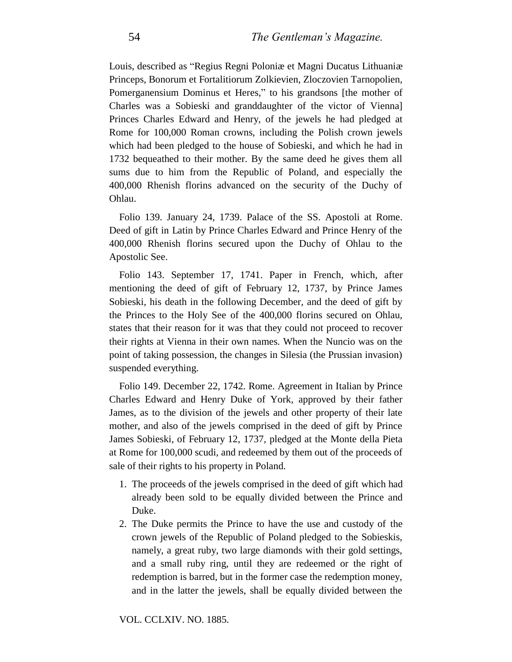Louis, described as "Regius Regni Poloniæ et Magni Ducatus Lithuaniæ Princeps, Bonorum et Fortalitiorum Zolkievien, Zloczovien Tarnopolien, Pomerganensium Dominus et Heres," to his grandsons [the mother of Charles was a Sobieski and granddaughter of the victor of Vienna] Princes Charles Edward and Henry, of the jewels he had pledged at Rome for 100,000 Roman crowns, including the Polish crown jewels which had been pledged to the house of Sobieski, and which he had in 1732 bequeathed to their mother. By the same deed he gives them all sums due to him from the Republic of Poland, and especially the 400,000 Rhenish florins advanced on the security of the Duchy of Ohlau.

Folio 139. January 24, 1739. Palace of the SS. Apostoli at Rome. Deed of gift in Latin by Prince Charles Edward and Prince Henry of the 400,000 Rhenish florins secured upon the Duchy of Ohlau to the Apostolic See.

Folio 143. September 17, 1741. Paper in French, which, after mentioning the deed of gift of February 12, 1737, by Prince James Sobieski, his death in the following December, and the deed of gift by the Princes to the Holy See of the 400,000 florins secured on Ohlau, states that their reason for it was that they could not proceed to recover their rights at Vienna in their own names. When the Nuncio was on the point of taking possession, the changes in Silesia (the Prussian invasion) suspended everything.

Folio 149. December 22, 1742. Rome. Agreement in Italian by Prince Charles Edward and Henry Duke of York, approved by their father James, as to the division of the jewels and other property of their late mother, and also of the jewels comprised in the deed of gift by Prince James Sobieski, of February 12, 1737, pledged at the Monte della Pieta at Rome for 100,000 scudi, and redeemed by them out of the proceeds of sale of their rights to his property in Poland.

- 1. The proceeds of the jewels comprised in the deed of gift which had already been sold to be equally divided between the Prince and Duke.
- 2. The Duke permits the Prince to have the use and custody of the crown jewels of the Republic of Poland pledged to the Sobieskis, namely, a great ruby, two large diamonds with their gold settings, and a small ruby ring, until they are redeemed or the right of redemption is barred, but in the former case the redemption money, and in the latter the jewels, shall be equally divided between the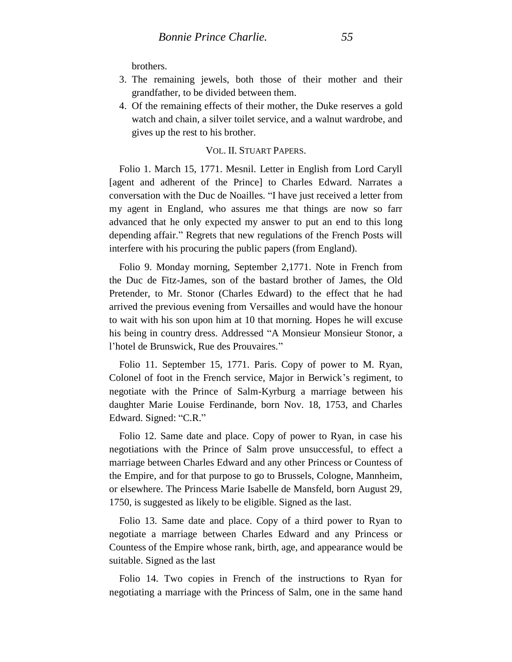brothers.

- 3. The remaining jewels, both those of their mother and their grandfather, to be divided between them.
- 4. Of the remaining effects of their mother, the Duke reserves a gold watch and chain, a silver toilet service, and a walnut wardrobe, and gives up the rest to his brother.

### VOL. II. STUART PAPERS.

Folio 1. March 15, 1771. Mesnil. Letter in English from Lord Caryll [agent and adherent of the Prince] to Charles Edward. Narrates a conversation with the Duc de Noailles. "I have just received a letter from my agent in England, who assures me that things are now so farr advanced that he only expected my answer to put an end to this long depending affair." Regrets that new regulations of the French Posts will interfere with his procuring the public papers (from England).

Folio 9. Monday morning, September 2,1771. Note in French from the Duc de Fitz-James, son of the bastard brother of James, the Old Pretender, to Mr. Stonor (Charles Edward) to the effect that he had arrived the previous evening from Versailles and would have the honour to wait with his son upon him at 10 that morning. Hopes he will excuse his being in country dress. Addressed "A Monsieur Monsieur Stonor, a l'hotel de Brunswick, Rue des Prouvaires."

Folio 11. September 15, 1771. Paris. Copy of power to M. Ryan, Colonel of foot in the French service, Major in Berwick's regiment, to negotiate with the Prince of Salm-Kyrburg a marriage between his daughter Marie Louise Ferdinande, born Nov. 18, 1753, and Charles Edward. Signed: "C.R."

Folio 12. Same date and place. Copy of power to Ryan, in case his negotiations with the Prince of Salm prove unsuccessful, to effect a marriage between Charles Edward and any other Princess or Countess of the Empire, and for that purpose to go to Brussels, Cologne, Mannheim, or elsewhere. The Princess Marie Isabelle de Mansfeld, born August 29, 1750, is suggested as likely to be eligible. Signed as the last.

Folio 13. Same date and place. Copy of a third power to Ryan to negotiate a marriage between Charles Edward and any Princess or Countess of the Empire whose rank, birth, age, and appearance would be suitable. Signed as the last

Folio 14. Two copies in French of the instructions to Ryan for negotiating a marriage with the Princess of Salm, one in the same hand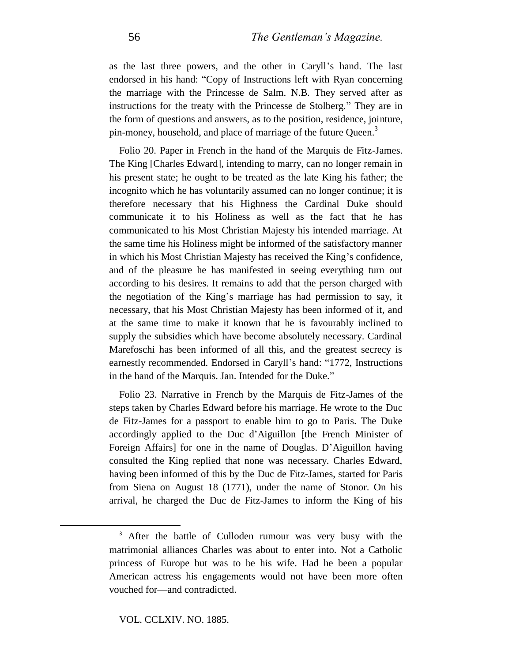as the last three powers, and the other in Caryll's hand. The last endorsed in his hand: "Copy of Instructions left with Ryan concerning the marriage with the Princesse de Salm. N.B. They served after as instructions for the treaty with the Princesse de Stolberg." They are in the form of questions and answers, as to the position, residence, jointure, pin-money, household, and place of marriage of the future Queen.<sup>3</sup>

Folio 20. Paper in French in the hand of the Marquis de Fitz-James. The King [Charles Edward], intending to marry, can no longer remain in his present state; he ought to be treated as the late King his father; the incognito which he has voluntarily assumed can no longer continue; it is therefore necessary that his Highness the Cardinal Duke should communicate it to his Holiness as well as the fact that he has communicated to his Most Christian Majesty his intended marriage. At the same time his Holiness might be informed of the satisfactory manner in which his Most Christian Majesty has received the King's confidence, and of the pleasure he has manifested in seeing everything turn out according to his desires. It remains to add that the person charged with the negotiation of the King's marriage has had permission to say, it necessary, that his Most Christian Majesty has been informed of it, and at the same time to make it known that he is favourably inclined to supply the subsidies which have become absolutely necessary. Cardinal Marefoschi has been informed of all this, and the greatest secrecy is earnestly recommended. Endorsed in Caryll's hand: "1772, Instructions in the hand of the Marquis. Jan. Intended for the Duke."

Folio 23. Narrative in French by the Marquis de Fitz-James of the steps taken by Charles Edward before his marriage. He wrote to the Duc de Fitz-James for a passport to enable him to go to Paris. The Duke accordingly applied to the Duc d'Aiguillon [the French Minister of Foreign Affairs] for one in the name of Douglas. D'Aiguillon having consulted the King replied that none was necessary. Charles Edward, having been informed of this by the Duc de Fitz-James, started for Paris from Siena on August 18 (1771), under the name of Stonor. On his arrival, he charged the Duc de Fitz-James to inform the King of his

<sup>&</sup>lt;sup>3</sup> After the battle of Culloden rumour was very busy with the matrimonial alliances Charles was about to enter into. Not a Catholic princess of Europe but was to be his wife. Had he been a popular American actress his engagements would not have been more often vouched for—and contradicted.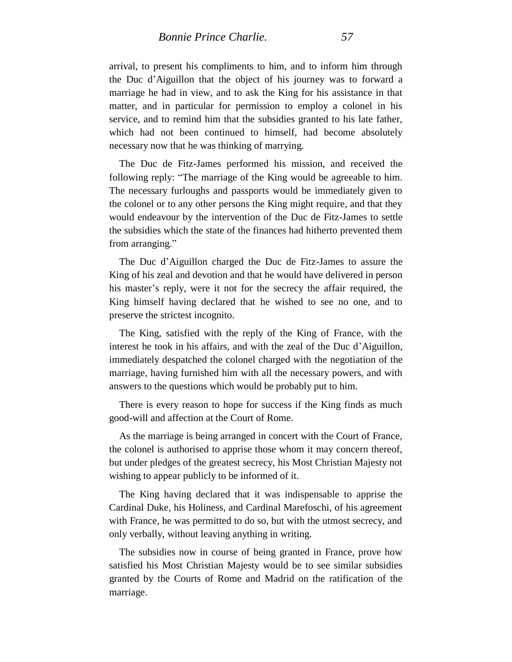arrival, to present his compliments to him, and to inform him through the Duc d'Aiguillon that the object of his journey was to forward a marriage he had in view, and to ask the King for his assistance in that matter, and in particular for permission to employ a colonel in his service, and to remind him that the subsidies granted to his late father, which had not been continued to himself, had become absolutely necessary now that he was thinking of marrying.

The Duc de Fitz-James performed his mission, and received the following reply: "The marriage of the King would be agreeable to him. The necessary furloughs and passports would be immediately given to the colonel or to any other persons the King might require, and that they would endeavour by the intervention of the Duc de Fitz-James to settle the subsidies which the state of the finances had hitherto prevented them from arranging."

The Duc d'Aiguillon charged the Duc de Fitz-James to assure the King of his zeal and devotion and that he would have delivered in person his master's reply, were it not for the secrecy the affair required, the King himself having declared that he wished to see no one, and to preserve the strictest incognito.

The King, satisfied with the reply of the King of France, with the interest he took in his affairs, and with the zeal of the Duc d'Aiguillon, immediately despatched the colonel charged with the negotiation of the marriage, having furnished him with all the necessary powers, and with answers to the questions which would be probably put to him.

There is every reason to hope for success if the King finds as much good-will and affection at the Court of Rome.

As the marriage is being arranged in concert with the Court of France, the colonel is authorised to apprise those whom it may concern thereof, but under pledges of the greatest secrecy, his Most Christian Majesty not wishing to appear publicly to be informed of it.

The King having declared that it was indispensable to apprise the Cardinal Duke, his Holiness, and Cardinal Marefoschi, of his agreement with France, he was permitted to do so, but with the utmost secrecy, and only verbally, without leaving anything in writing.

The subsidies now in course of being granted in France, prove how satisfied his Most Christian Majesty would be to see similar subsidies granted by the Courts of Rome and Madrid on the ratification of the marriage.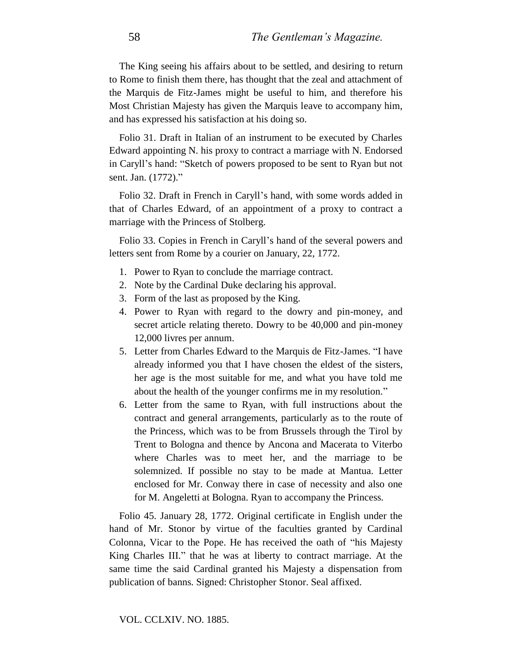The King seeing his affairs about to be settled, and desiring to return to Rome to finish them there, has thought that the zeal and attachment of the Marquis de Fitz-James might be useful to him, and therefore his Most Christian Majesty has given the Marquis leave to accompany him, and has expressed his satisfaction at his doing so.

Folio 31. Draft in Italian of an instrument to be executed by Charles Edward appointing N. his proxy to contract a marriage with N. Endorsed in Caryll's hand: "Sketch of powers proposed to be sent to Ryan but not sent. Jan. (1772)."

Folio 32. Draft in French in Caryll's hand, with some words added in that of Charles Edward, of an appointment of a proxy to contract a marriage with the Princess of Stolberg.

Folio 33. Copies in French in Caryll's hand of the several powers and letters sent from Rome by a courier on January, 22, 1772.

- 1. Power to Ryan to conclude the marriage contract.
- 2. Note by the Cardinal Duke declaring his approval.
- 3. Form of the last as proposed by the King.
- 4. Power to Ryan with regard to the dowry and pin-money, and secret article relating thereto. Dowry to be 40,000 and pin-money 12,000 livres per annum.
- 5. Letter from Charles Edward to the Marquis de Fitz-James. "I have already informed you that I have chosen the eldest of the sisters, her age is the most suitable for me, and what you have told me about the health of the younger confirms me in my resolution."
- 6. Letter from the same to Ryan, with full instructions about the contract and general arrangements, particularly as to the route of the Princess, which was to be from Brussels through the Tirol by Trent to Bologna and thence by Ancona and Macerata to Viterbo where Charles was to meet her, and the marriage to be solemnized. If possible no stay to be made at Mantua. Letter enclosed for Mr. Conway there in case of necessity and also one for M. Angeletti at Bologna. Ryan to accompany the Princess.

Folio 45. January 28, 1772. Original certificate in English under the hand of Mr. Stonor by virtue of the faculties granted by Cardinal Colonna, Vicar to the Pope. He has received the oath of "his Majesty King Charles III." that he was at liberty to contract marriage. At the same time the said Cardinal granted his Majesty a dispensation from publication of banns. Signed: Christopher Stonor. Seal affixed.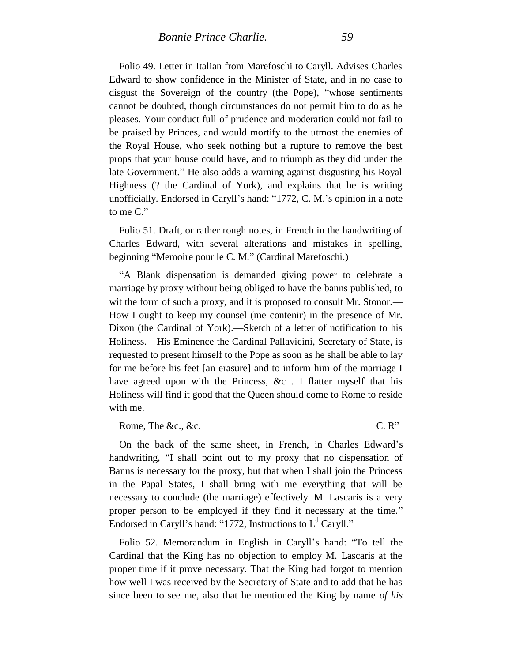Folio 49. Letter in Italian from Marefoschi to Caryll. Advises Charles Edward to show confidence in the Minister of State, and in no case to disgust the Sovereign of the country (the Pope), "whose sentiments cannot be doubted, though circumstances do not permit him to do as he pleases. Your conduct full of prudence and moderation could not fail to be praised by Princes, and would mortify to the utmost the enemies of the Royal House, who seek nothing but a rupture to remove the best

props that your house could have, and to triumph as they did under the late Government." He also adds a warning against disgusting his Royal Highness (? the Cardinal of York), and explains that he is writing unofficially. Endorsed in Caryll's hand: "1772, C. M.'s opinion in a note to me C."

Folio 51. Draft, or rather rough notes, in French in the handwriting of Charles Edward, with several alterations and mistakes in spelling, beginning "Memoire pour le C. M." (Cardinal Marefoschi.)

"A Blank dispensation is demanded giving power to celebrate a marriage by proxy without being obliged to have the banns published, to wit the form of such a proxy, and it is proposed to consult Mr. Stonor.— How I ought to keep my counsel (me contenir) in the presence of Mr. Dixon (the Cardinal of York).—Sketch of a letter of notification to his Holiness.—His Eminence the Cardinal Pallavicini, Secretary of State, is requested to present himself to the Pope as soon as he shall be able to lay for me before his feet [an erasure] and to inform him of the marriage I have agreed upon with the Princess, &c. I flatter myself that his Holiness will find it good that the Queen should come to Rome to reside with me.

Rome, The &c., &c. C. R"

On the back of the same sheet, in French, in Charles Edward's handwriting, "I shall point out to my proxy that no dispensation of Banns is necessary for the proxy, but that when I shall join the Princess in the Papal States, I shall bring with me everything that will be necessary to conclude (the marriage) effectively. M. Lascaris is a very proper person to be employed if they find it necessary at the time." Endorsed in Caryll's hand: "1772, Instructions to  $L<sup>d</sup>$  Caryll."

Folio 52. Memorandum in English in Caryll's hand: "To tell the Cardinal that the King has no objection to employ M. Lascaris at the proper time if it prove necessary. That the King had forgot to mention how well I was received by the Secretary of State and to add that he has since been to see me, also that he mentioned the King by name *of his*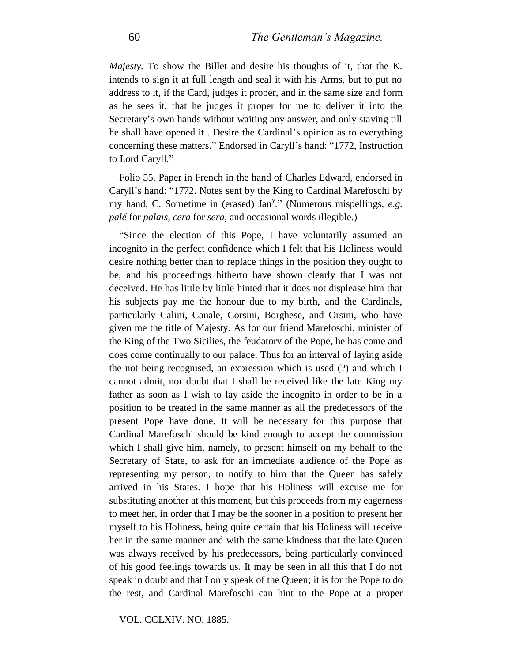*Majesty.* To show the Billet and desire his thoughts of it, that the K. intends to sign it at full length and seal it with his Arms, but to put no address to it, if the Card, judges it proper, and in the same size and form as he sees it, that he judges it proper for me to deliver it into the Secretary's own hands without waiting any answer, and only staying till he shall have opened it . Desire the Cardinal's opinion as to everything concerning these matters." Endorsed in Caryll's hand: "1772, Instruction to Lord Caryll."

Folio 55. Paper in French in the hand of Charles Edward, endorsed in Caryll's hand: "1772. Notes sent by the King to Cardinal Marefoschi by my hand, C. Sometime in (erased) Jan<sup>y</sup>." (Numerous mispellings, e.g. *palé* for *palais, cera* for *sera,* and occasional words illegible.)

"Since the election of this Pope, I have voluntarily assumed an incognito in the perfect confidence which I felt that his Holiness would desire nothing better than to replace things in the position they ought to be, and his proceedings hitherto have shown clearly that I was not deceived. He has little by little hinted that it does not displease him that his subjects pay me the honour due to my birth, and the Cardinals, particularly Calini, Canale, Corsini, Borghese, and Orsini, who have given me the title of Majesty. As for our friend Marefoschi, minister of the King of the Two Sicilies, the feudatory of the Pope, he has come and does come continually to our palace. Thus for an interval of laying aside the not being recognised, an expression which is used (?) and which I cannot admit, nor doubt that I shall be received like the late King my father as soon as I wish to lay aside the incognito in order to be in a position to be treated in the same manner as all the predecessors of the present Pope have done. It will be necessary for this purpose that Cardinal Marefoschi should be kind enough to accept the commission which I shall give him, namely, to present himself on my behalf to the Secretary of State, to ask for an immediate audience of the Pope as representing my person, to notify to him that the Queen has safely arrived in his States. I hope that his Holiness will excuse me for substituting another at this moment, but this proceeds from my eagerness to meet her, in order that I may be the sooner in a position to present her myself to his Holiness, being quite certain that his Holiness will receive her in the same manner and with the same kindness that the late Queen was always received by his predecessors, being particularly convinced of his good feelings towards us. It may be seen in all this that I do not speak in doubt and that I only speak of the Queen; it is for the Pope to do the rest, and Cardinal Marefoschi can hint to the Pope at a proper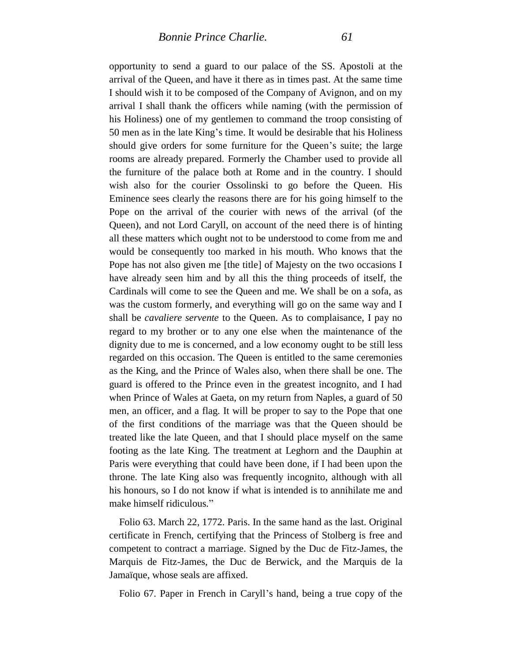opportunity to send a guard to our palace of the SS. Apostoli at the arrival of the Queen, and have it there as in times past. At the same time I should wish it to be composed of the Company of Avignon, and on my arrival I shall thank the officers while naming (with the permission of his Holiness) one of my gentlemen to command the troop consisting of 50 men as in the late King's time. It would be desirable that his Holiness should give orders for some furniture for the Queen's suite; the large rooms are already prepared. Formerly the Chamber used to provide all the furniture of the palace both at Rome and in the country. I should wish also for the courier Ossolinski to go before the Queen. His Eminence sees clearly the reasons there are for his going himself to the Pope on the arrival of the courier with news of the arrival (of the Queen), and not Lord Caryll, on account of the need there is of hinting all these matters which ought not to be understood to come from me and would be consequently too marked in his mouth. Who knows that the Pope has not also given me [the title] of Majesty on the two occasions I have already seen him and by all this the thing proceeds of itself, the Cardinals will come to see the Queen and me. We shall be on a sofa, as was the custom formerly, and everything will go on the same way and I shall be *cavaliere servente* to the Queen. As to complaisance, I pay no regard to my brother or to any one else when the maintenance of the dignity due to me is concerned, and a low economy ought to be still less regarded on this occasion. The Queen is entitled to the same ceremonies as the King, and the Prince of Wales also, when there shall be one. The guard is offered to the Prince even in the greatest incognito, and I had when Prince of Wales at Gaeta, on my return from Naples, a guard of 50 men, an officer, and a flag. It will be proper to say to the Pope that one of the first conditions of the marriage was that the Queen should be treated like the late Queen, and that I should place myself on the same footing as the late King. The treatment at Leghorn and the Dauphin at Paris were everything that could have been done, if I had been upon the throne. The late King also was frequently incognito, although with all his honours, so I do not know if what is intended is to annihilate me and make himself ridiculous."

Folio 63. March 22, 1772. Paris. In the same hand as the last. Original certificate in French, certifying that the Princess of Stolberg is free and competent to contract a marriage. Signed by the Duc de Fitz-James, the Marquis de Fitz-James, the Duc de Berwick, and the Marquis de la Jamaïque, whose seals are affixed.

Folio 67. Paper in French in Caryll's hand, being a true copy of the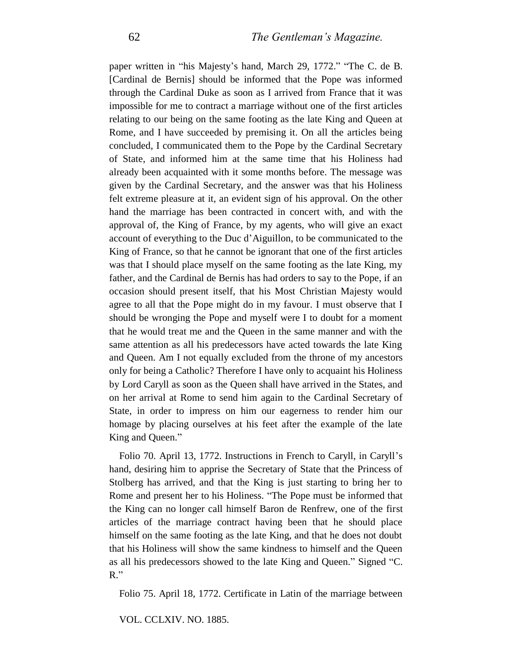paper written in "his Majesty's hand, March 29, 1772." "The C. de B. [Cardinal de Bernis] should be informed that the Pope was informed through the Cardinal Duke as soon as I arrived from France that it was impossible for me to contract a marriage without one of the first articles relating to our being on the same footing as the late King and Queen at Rome, and I have succeeded by premising it. On all the articles being concluded, I communicated them to the Pope by the Cardinal Secretary of State, and informed him at the same time that his Holiness had already been acquainted with it some months before. The message was given by the Cardinal Secretary, and the answer was that his Holiness felt extreme pleasure at it, an evident sign of his approval. On the other hand the marriage has been contracted in concert with, and with the approval of, the King of France, by my agents, who will give an exact account of everything to the Duc d'Aiguillon, to be communicated to the King of France, so that he cannot be ignorant that one of the first articles was that I should place myself on the same footing as the late King, my father, and the Cardinal de Bernis has had orders to say to the Pope, if an occasion should present itself, that his Most Christian Majesty would agree to all that the Pope might do in my favour. I must observe that I should be wronging the Pope and myself were I to doubt for a moment that he would treat me and the Queen in the same manner and with the same attention as all his predecessors have acted towards the late King and Queen. Am I not equally excluded from the throne of my ancestors only for being a Catholic? Therefore I have only to acquaint his Holiness by Lord Caryll as soon as the Queen shall have arrived in the States, and on her arrival at Rome to send him again to the Cardinal Secretary of State, in order to impress on him our eagerness to render him our homage by placing ourselves at his feet after the example of the late King and Queen."

Folio 70. April 13, 1772. Instructions in French to Caryll, in Caryll's hand, desiring him to apprise the Secretary of State that the Princess of Stolberg has arrived, and that the King is just starting to bring her to Rome and present her to his Holiness. "The Pope must be informed that the King can no longer call himself Baron de Renfrew, one of the first articles of the marriage contract having been that he should place himself on the same footing as the late King, and that he does not doubt that his Holiness will show the same kindness to himself and the Queen as all his predecessors showed to the late King and Queen." Signed "C. R."

Folio 75. April 18, 1772. Certificate in Latin of the marriage between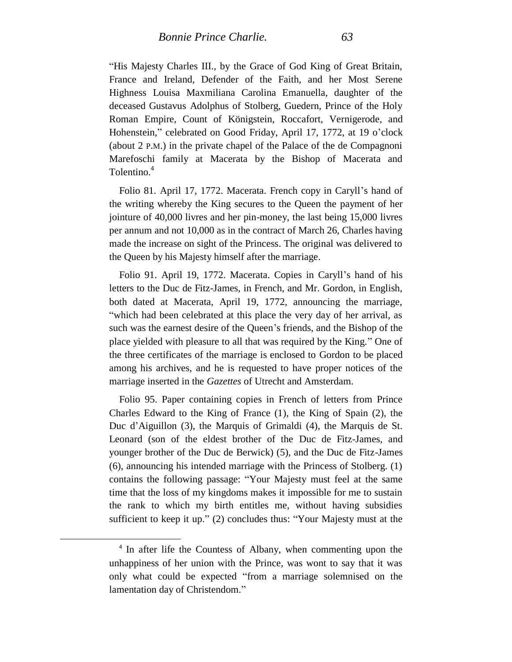"His Majesty Charles III., by the Grace of God King of Great Britain, France and Ireland, Defender of the Faith, and her Most Serene Highness Louisa Maxmiliana Carolina Emanuella, daughter of the deceased Gustavus Adolphus of Stolberg, Guedern, Prince of the Holy Roman Empire, Count of Königstein, Roccafort, Vernigerode, and Hohenstein," celebrated on Good Friday, April 17, 1772, at 19 o'clock (about 2 P.M.) in the private chapel of the Palace of the de Compagnoni Marefoschi family at Macerata by the Bishop of Macerata and Tolentino.<sup>4</sup>

Folio 81. April 17, 1772. Macerata. French copy in Caryll's hand of the writing whereby the King secures to the Queen the payment of her jointure of 40,000 livres and her pin-money, the last being 15,000 livres per annum and not 10,000 as in the contract of March 26, Charles having made the increase on sight of the Princess. The original was delivered to the Queen by his Majesty himself after the marriage.

Folio 91. April 19, 1772. Macerata. Copies in Caryll's hand of his letters to the Duc de Fitz-James, in French, and Mr. Gordon, in English, both dated at Macerata, April 19, 1772, announcing the marriage, "which had been celebrated at this place the very day of her arrival, as such was the earnest desire of the Queen's friends, and the Bishop of the place yielded with pleasure to all that was required by the King." One of the three certificates of the marriage is enclosed to Gordon to be placed among his archives, and he is requested to have proper notices of the marriage inserted in the *Gazettes* of Utrecht and Amsterdam.

Folio 95. Paper containing copies in French of letters from Prince Charles Edward to the King of France (1), the King of Spain (2), the Duc d'Aiguillon (3), the Marquis of Grimaldi (4), the Marquis de St. Leonard (son of the eldest brother of the Duc de Fitz-James, and younger brother of the Duc de Berwick) (5), and the Duc de Fitz-James (6), announcing his intended marriage with the Princess of Stolberg. (1) contains the following passage: "Your Majesty must feel at the same time that the loss of my kingdoms makes it impossible for me to sustain the rank to which my birth entitles me, without having subsidies sufficient to keep it up." (2) concludes thus: "Your Majesty must at the

<sup>4</sup> In after life the Countess of Albany, when commenting upon the unhappiness of her union with the Prince, was wont to say that it was only what could be expected "from a marriage solemnised on the lamentation day of Christendom."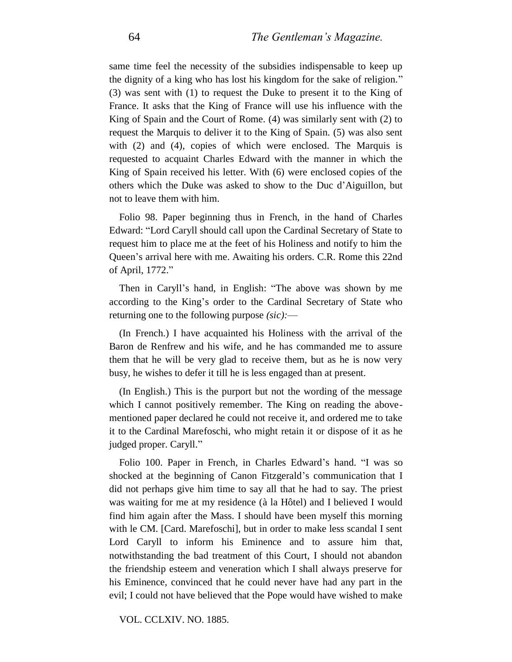same time feel the necessity of the subsidies indispensable to keep up the dignity of a king who has lost his kingdom for the sake of religion." (3) was sent with (1) to request the Duke to present it to the King of France. It asks that the King of France will use his influence with the King of Spain and the Court of Rome. (4) was similarly sent with (2) to request the Marquis to deliver it to the King of Spain. (5) was also sent with (2) and (4), copies of which were enclosed. The Marquis is requested to acquaint Charles Edward with the manner in which the King of Spain received his letter. With (6) were enclosed copies of the others which the Duke was asked to show to the Duc d'Aiguillon, but not to leave them with him.

Folio 98. Paper beginning thus in French, in the hand of Charles Edward: "Lord Caryll should call upon the Cardinal Secretary of State to request him to place me at the feet of his Holiness and notify to him the Queen's arrival here with me. Awaiting his orders. C.R. Rome this 22nd of April, 1772."

Then in Caryll's hand, in English: "The above was shown by me according to the King's order to the Cardinal Secretary of State who returning one to the following purpose *(sic):*—

(In French.) I have acquainted his Holiness with the arrival of the Baron de Renfrew and his wife, and he has commanded me to assure them that he will be very glad to receive them, but as he is now very busy, he wishes to defer it till he is less engaged than at present.

(In English.) This is the purport but not the wording of the message which I cannot positively remember. The King on reading the abovementioned paper declared he could not receive it, and ordered me to take it to the Cardinal Marefoschi, who might retain it or dispose of it as he judged proper. Caryll."

Folio 100. Paper in French, in Charles Edward's hand. "I was so shocked at the beginning of Canon Fitzgerald's communication that I did not perhaps give him time to say all that he had to say. The priest was waiting for me at my residence (à la Hôtel) and I believed I would find him again after the Mass. I should have been myself this morning with le CM. [Card. Marefoschi], but in order to make less scandal I sent Lord Caryll to inform his Eminence and to assure him that, notwithstanding the bad treatment of this Court, I should not abandon the friendship esteem and veneration which I shall always preserve for his Eminence, convinced that he could never have had any part in the evil; I could not have believed that the Pope would have wished to make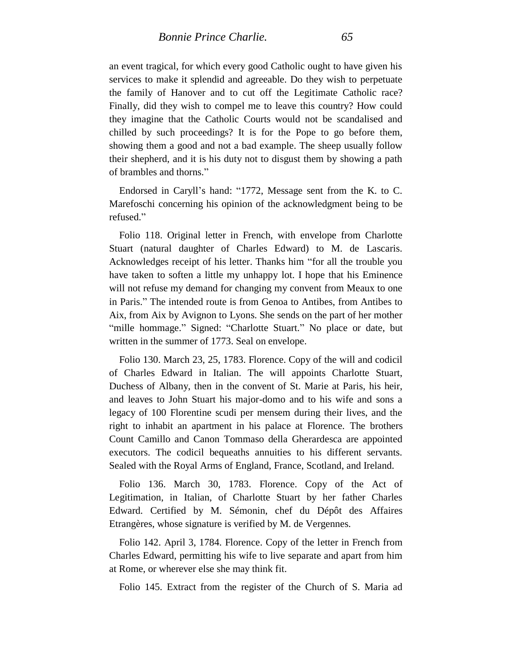an event tragical, for which every good Catholic ought to have given his services to make it splendid and agreeable. Do they wish to perpetuate the family of Hanover and to cut off the Legitimate Catholic race? Finally, did they wish to compel me to leave this country? How could they imagine that the Catholic Courts would not be scandalised and chilled by such proceedings? It is for the Pope to go before them, showing them a good and not a bad example. The sheep usually follow their shepherd, and it is his duty not to disgust them by showing a path of brambles and thorns."

Endorsed in Caryll's hand: "1772, Message sent from the K. to C. Marefoschi concerning his opinion of the acknowledgment being to be refused."

Folio 118. Original letter in French, with envelope from Charlotte Stuart (natural daughter of Charles Edward) to M. de Lascaris. Acknowledges receipt of his letter. Thanks him "for all the trouble you have taken to soften a little my unhappy lot. I hope that his Eminence will not refuse my demand for changing my convent from Meaux to one in Paris." The intended route is from Genoa to Antibes, from Antibes to Aix, from Aix by Avignon to Lyons. She sends on the part of her mother "mille hommage." Signed: "Charlotte Stuart." No place or date, but written in the summer of 1773. Seal on envelope.

Folio 130. March 23, 25, 1783. Florence. Copy of the will and codicil of Charles Edward in Italian. The will appoints Charlotte Stuart, Duchess of Albany, then in the convent of St. Marie at Paris, his heir, and leaves to John Stuart his major-domo and to his wife and sons a legacy of 100 Florentine scudi per mensem during their lives, and the right to inhabit an apartment in his palace at Florence. The brothers Count Camillo and Canon Tommaso della Gherardesca are appointed executors. The codicil bequeaths annuities to his different servants. Sealed with the Royal Arms of England, France, Scotland, and Ireland.

Folio 136. March 30, 1783. Florence. Copy of the Act of Legitimation, in Italian, of Charlotte Stuart by her father Charles Edward. Certified by M. Sémonin, chef du Dépôt des Affaires Etrangères, whose signature is verified by M. de Vergennes.

Folio 142. April 3, 1784. Florence. Copy of the letter in French from Charles Edward, permitting his wife to live separate and apart from him at Rome, or wherever else she may think fit.

Folio 145. Extract from the register of the Church of S. Maria ad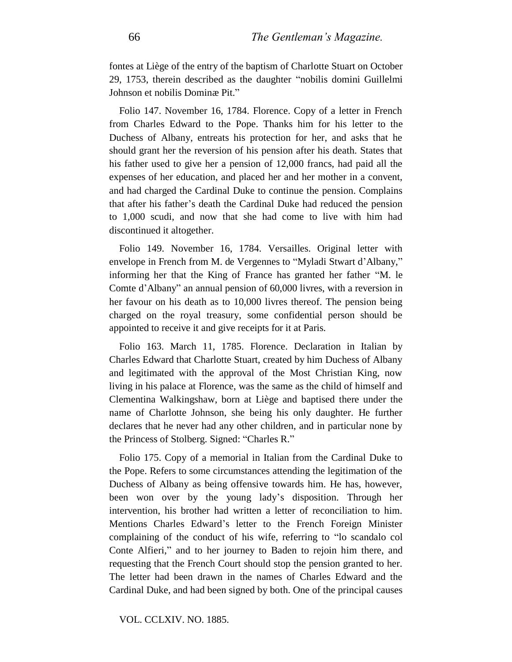fontes at Liège of the entry of the baptism of Charlotte Stuart on October 29, 1753, therein described as the daughter "nobilis domini Guillelmi Johnson et nobilis Dominæ Pit."

Folio 147. November 16, 1784. Florence. Copy of a letter in French from Charles Edward to the Pope. Thanks him for his letter to the Duchess of Albany, entreats his protection for her, and asks that he should grant her the reversion of his pension after his death. States that his father used to give her a pension of 12,000 francs, had paid all the expenses of her education, and placed her and her mother in a convent, and had charged the Cardinal Duke to continue the pension. Complains that after his father's death the Cardinal Duke had reduced the pension to 1,000 scudi, and now that she had come to live with him had discontinued it altogether.

Folio 149. November 16, 1784. Versailles. Original letter with envelope in French from M. de Vergennes to "Myladi Stwart d'Albany," informing her that the King of France has granted her father "M. le Comte d'Albany" an annual pension of 60,000 livres, with a reversion in her favour on his death as to 10,000 livres thereof. The pension being charged on the royal treasury, some confidential person should be appointed to receive it and give receipts for it at Paris.

Folio 163. March 11, 1785. Florence. Declaration in Italian by Charles Edward that Charlotte Stuart, created by him Duchess of Albany and legitimated with the approval of the Most Christian King, now living in his palace at Florence, was the same as the child of himself and Clementina Walkingshaw, born at Liège and baptised there under the name of Charlotte Johnson, she being his only daughter. He further declares that he never had any other children, and in particular none by the Princess of Stolberg. Signed: "Charles R."

Folio 175. Copy of a memorial in Italian from the Cardinal Duke to the Pope. Refers to some circumstances attending the legitimation of the Duchess of Albany as being offensive towards him. He has, however, been won over by the young lady's disposition. Through her intervention, his brother had written a letter of reconciliation to him. Mentions Charles Edward's letter to the French Foreign Minister complaining of the conduct of his wife, referring to "lo scandalo col Conte Alfieri," and to her journey to Baden to rejoin him there, and requesting that the French Court should stop the pension granted to her. The letter had been drawn in the names of Charles Edward and the Cardinal Duke, and had been signed by both. One of the principal causes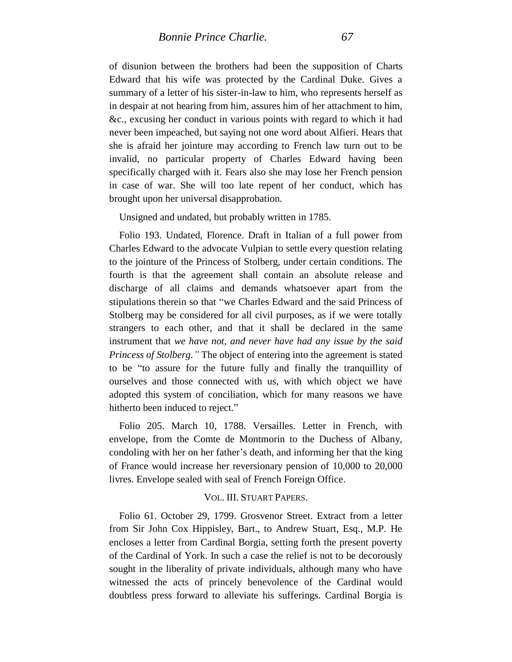of disunion between the brothers had been the supposition of Charts Edward that his wife was protected by the Cardinal Duke. Gives a summary of a letter of his sister-in-law to him, who represents herself as in despair at not hearing from him, assures him of her attachment to him, &c., excusing her conduct in various points with regard to which it had never been impeached, but saying not one word about Alfieri. Hears that she is afraid her jointure may according to French law turn out to be invalid, no particular property of Charles Edward having been specifically charged with it. Fears also she may lose her French pension in case of war. She will too late repent of her conduct, which has brought upon her universal disapprobation.

Unsigned and undated, but probably written in 1785.

Folio 193. Undated, Florence. Draft in Italian of a full power from Charles Edward to the advocate Vulpian to settle every question relating to the jointure of the Princess of Stolberg, under certain conditions. The fourth is that the agreement shall contain an absolute release and discharge of all claims and demands whatsoever apart from the stipulations therein so that "we Charles Edward and the said Princess of Stolberg may be considered for all civil purposes, as if we were totally strangers to each other, and that it shall be declared in the same instrument that *we have not, and never have had any issue by the said Princess of Stolberg."* The object of entering into the agreement is stated to be "to assure for the future fully and finally the tranquillity of ourselves and those connected with us, with which object we have adopted this system of conciliation, which for many reasons we have hitherto been induced to reject."

Folio 205. March 10, 1788. Versailles. Letter in French, with envelope, from the Comte de Montmorin to the Duchess of Albany, condoling with her on her father's death, and informing her that the king of France would increase her reversionary pension of 10,000 to 20,000 livres. Envelope sealed with seal of French Foreign Office.

### VOL. III. STUART PAPERS.

Folio 61. October 29, 1799. Grosvenor Street. Extract from a letter from Sir John Cox Hippisley, Bart., to Andrew Stuart, Esq., M.P. He encloses a letter from Cardinal Borgia, setting forth the present poverty of the Cardinal of York. In such a case the relief is not to be decorously sought in the liberality of private individuals, although many who have witnessed the acts of princely benevolence of the Cardinal would doubtless press forward to alleviate his sufferings. Cardinal Borgia is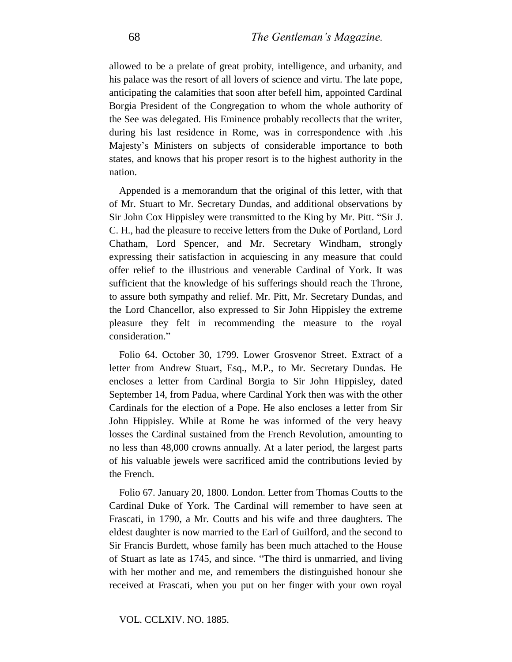allowed to be a prelate of great probity, intelligence, and urbanity, and his palace was the resort of all lovers of science and virtu. The late pope, anticipating the calamities that soon after befell him, appointed Cardinal Borgia President of the Congregation to whom the whole authority of the See was delegated. His Eminence probably recollects that the writer, during his last residence in Rome, was in correspondence with .his Majesty's Ministers on subjects of considerable importance to both states, and knows that his proper resort is to the highest authority in the nation.

Appended is a memorandum that the original of this letter, with that of Mr. Stuart to Mr. Secretary Dundas, and additional observations by Sir John Cox Hippisley were transmitted to the King by Mr. Pitt. "Sir J. C. H., had the pleasure to receive letters from the Duke of Portland, Lord Chatham, Lord Spencer, and Mr. Secretary Windham, strongly expressing their satisfaction in acquiescing in any measure that could offer relief to the illustrious and venerable Cardinal of York. It was sufficient that the knowledge of his sufferings should reach the Throne, to assure both sympathy and relief. Mr. Pitt, Mr. Secretary Dundas, and the Lord Chancellor, also expressed to Sir John Hippisley the extreme pleasure they felt in recommending the measure to the royal consideration."

Folio 64. October 30, 1799. Lower Grosvenor Street. Extract of a letter from Andrew Stuart, Esq., M.P., to Mr. Secretary Dundas. He encloses a letter from Cardinal Borgia to Sir John Hippisley, dated September 14, from Padua, where Cardinal York then was with the other Cardinals for the election of a Pope. He also encloses a letter from Sir John Hippisley. While at Rome he was informed of the very heavy losses the Cardinal sustained from the French Revolution, amounting to no less than 48,000 crowns annually. At a later period, the largest parts of his valuable jewels were sacrificed amid the contributions levied by the French.

Folio 67. January 20, 1800. London. Letter from Thomas Coutts to the Cardinal Duke of York. The Cardinal will remember to have seen at Frascati, in 1790, a Mr. Coutts and his wife and three daughters. The eldest daughter is now married to the Earl of Guilford, and the second to Sir Francis Burdett, whose family has been much attached to the House of Stuart as late as 1745, and since. "The third is unmarried, and living with her mother and me, and remembers the distinguished honour she received at Frascati, when you put on her finger with your own royal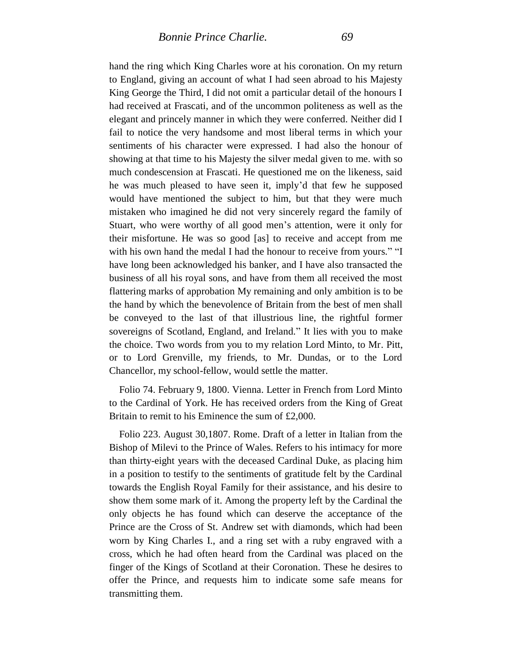hand the ring which King Charles wore at his coronation. On my return to England, giving an account of what I had seen abroad to his Majesty King George the Third, I did not omit a particular detail of the honours I had received at Frascati, and of the uncommon politeness as well as the elegant and princely manner in which they were conferred. Neither did I fail to notice the very handsome and most liberal terms in which your sentiments of his character were expressed. I had also the honour of showing at that time to his Majesty the silver medal given to me. with so much condescension at Frascati. He questioned me on the likeness, said he was much pleased to have seen it, imply'd that few he supposed would have mentioned the subject to him, but that they were much mistaken who imagined he did not very sincerely regard the family of Stuart, who were worthy of all good men's attention, were it only for their misfortune. He was so good [as] to receive and accept from me with his own hand the medal I had the honour to receive from yours." "I have long been acknowledged his banker, and I have also transacted the business of all his royal sons, and have from them all received the most flattering marks of approbation My remaining and only ambition is to be the hand by which the benevolence of Britain from the best of men shall be conveyed to the last of that illustrious line, the rightful former sovereigns of Scotland, England, and Ireland." It lies with you to make the choice. Two words from you to my relation Lord Minto, to Mr. Pitt, or to Lord Grenville, my friends, to Mr. Dundas, or to the Lord Chancellor, my school-fellow, would settle the matter.

Folio 74. February 9, 1800. Vienna. Letter in French from Lord Minto to the Cardinal of York. He has received orders from the King of Great Britain to remit to his Eminence the sum of £2,000.

Folio 223. August 30,1807. Rome. Draft of a letter in Italian from the Bishop of Milevi to the Prince of Wales. Refers to his intimacy for more than thirty-eight years with the deceased Cardinal Duke, as placing him in a position to testify to the sentiments of gratitude felt by the Cardinal towards the English Royal Family for their assistance, and his desire to show them some mark of it. Among the property left by the Cardinal the only objects he has found which can deserve the acceptance of the Prince are the Cross of St. Andrew set with diamonds, which had been worn by King Charles I., and a ring set with a ruby engraved with a cross, which he had often heard from the Cardinal was placed on the finger of the Kings of Scotland at their Coronation. These he desires to offer the Prince, and requests him to indicate some safe means for transmitting them.